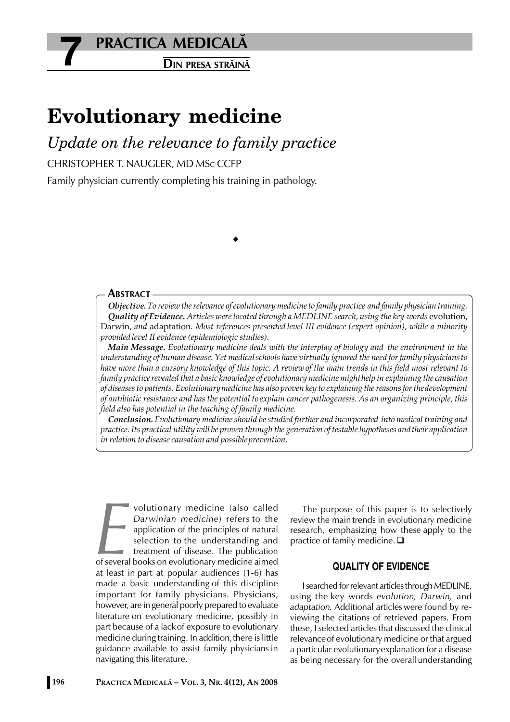**7 PRACTICA MEDICALÅ**

**DIN PRESA STRÅINÅ**

# **Evolutionary medicine**

*Update on the relevance to family practice*

CHRISTOPHER T. NAUGLER, MD MSc CCFP

Family physician currently completing his training in pathology.

#### **ABSTRACT**

*Objective. To review the relevance of evolutionary medicine to family practice and family physician training. Quality of Evidence. Articles were located through a MEDLINE search, using the key words* evolution, Darwin, *and* adaptation. *Most references presented level III evidence (expert opinion), while a minority provided level II evidence (epidemiologic studies).*

*Main Message. Evolutionary medicine deals with the interplay of biology and the environment in the understanding of human disease. Yet medicalschools have virtually ignored the need for family physiciansto have more than a cursory knowledge of this topic. A review of the main trends in this field most relevant to family practicerevealed that a basic knowledge of evolutionary medicine mighthelp in explaining the causation of diseases to patients. Evolutionarymedicine has also proven key to explaining the reasons for thedevelopment of antibiotic resistance and has the potential to explain cancer pathogenesis. As an organizing principle, this field also has potential in the teaching of family medicine.*

*Conclusion. Evolutionary medicine should be studied further and incorporated into medical training and practice. Its practical utility will be proven through the generation of testable hypotheses andtheir application in relation to disease causation and possibleprevention.*

**E**<br>of several<br>at least i volutionary medicine (also called *Darwinian medicine*) refers to the application of the principles of natural selection to the understanding and treatment of disease. The publication of several books on evolutionary medicine aimed at least in part at popular audiences (1-6) has made a basic understanding of this discipline important for family physicians. Physicians, however, are in general poorly prepared to evaluate literature on evolutionary medicine, possibly in part because of a lackof exposure to evolutionary medicine during training. In addition, there is little guidance available to assist family physicians in navigating this literature.

The purpose of this paper is to selectively review the main trends in evolutionary medicine research, emphasizing how these apply to the practice of family medicine.  $\square$ 

#### **QUALITY OF EVIDENCE**

I searched for relevant articles through MEDLINE, using the key words *evolution, Darwin,* and *adaptation.* Additional articles were found by reviewing the citations of retrieved papers. From these, I selected articles that discussed the clinical relevanceof evolutionary medicine or that argued a particular evolutionaryexplanation for a disease as being necessary for the overall understanding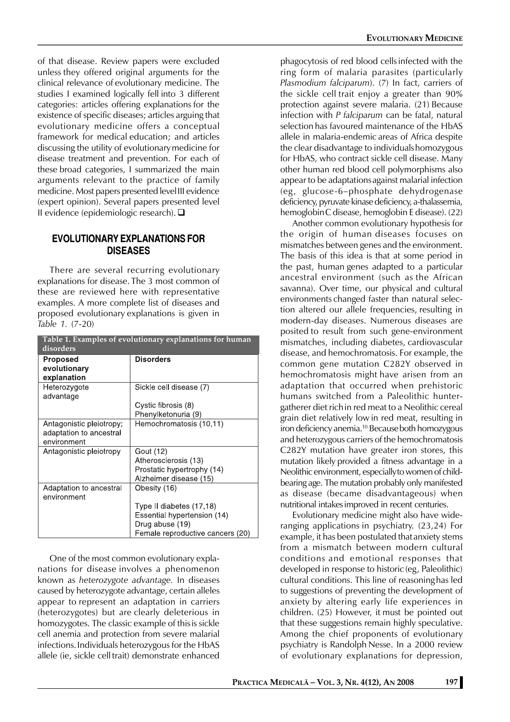of that disease. Review papers were excluded unless they offered original arguments for the clinical relevance of evolutionary medicine. The studies I examined logically fell into 3 different categories: articles offering explanations for the existence of specific diseases; articles arguing that evolutionary medicine offers a conceptual framework for medical education; and articles discussing the utility of evolutionarymedicine for disease treatment and prevention. For each of these broad categories, I summarized the main arguments relevant to the practice of family medicine. Most papers presented levelIII evidence (expert opinion). Several papers presented level II evidence (epidemiologic research).

## **EVOLUTIONARY EXPLANATIONS FOR DISEASES**

There are several recurring evolutionary explanations for disease. The 3 most common of these are reviewed here with representative examples. A more complete list of diseases and proposed evolutionary explanations is given in *Table 1.* (7-20)

| Table 1. Examples of evolutionary explanations for human<br>disorders |                                                                                           |
|-----------------------------------------------------------------------|-------------------------------------------------------------------------------------------|
| <b>Proposed</b><br>evolutionary<br>explanation                        | <b>Disorders</b>                                                                          |
| Heterozygote<br>advantage                                             | Sickle cell disease (7)                                                                   |
|                                                                       | Cystic fibrosis (8)<br>Phenylketonuria (9)                                                |
| Antagonistic pleiotropy;<br>adaptation to ancestral<br>environment    | Hemochromatosis (10,11)                                                                   |
| Antagonistic pleiotropy                                               | Gout (12)<br>Atherosclerosis (13)<br>Prostatic hypertrophy (14)<br>Alzheimer disease (15) |
| Adaptation to ancestral<br>environment                                | Obesity (16)<br>Type II diabetes (17,18)                                                  |
|                                                                       | Essential hypertension (14)<br>Drug abuse (19)<br>Female reproductive cancers (20)        |

One of the most common evolutionary explanations for disease involves a phenomenon known as *heterozygote advantage.* In diseases caused by heterozygote advantage, certain alleles appear to represent an adaptation in carriers (heterozygotes) but are clearly deleterious in homozygotes. The classic example of thisis sickle cell anemia and protection from severe malarial infections.Individuals heterozygous for the HbAS allele (ie, sickle cell trait) demonstrate enhanced

phagocytosis of red blood cellsinfected with the ring form of malaria parasites (particularly *Plasmodium falciparum*). (7) In fact, carriers of the sickle cell trait enjoy a greater than 90% protection against severe malaria. (21) Because infection with *P falciparum* can be fatal, natural selection has favoured maintenance of the HbAS allele in malaria-endemic areas of Africa despite the clear disadvantage to individualshomozygous for HbAS, who contract sickle cell disease. Many other human red blood cell polymorphisms also appear to be adaptationsagainst malarial infection (eg, glucose-6–phosphate dehydrogenase deficiency, pyruvate kinase deficiency, a-thalassemia, hemoglobinC disease, hemoglobin E disease). (22)

Another common evolutionary hypothesis for the origin of human diseases focuses on mismatches between genes and the environment. The basis of this idea is that at some period in the past, human genes adapted to a particular ancestral environment (such as the African savanna). Over time, our physical and cultural environments changed faster than natural selection altered our allele frequencies, resulting in modern-day diseases. Numerous diseases are posited to result from such gene-environment mismatches, including diabetes, cardiovascular disease, and hemochromatosis. For example, the common gene mutation C282Y observed in hemochromatosis might have arisen from an adaptation that occurred when prehistoric humans switched from a Paleolithic huntergatherer diet richin red meat to a Neolithic cereal grain diet relatively low in red meat, resulting in iron deficiency anemia.<sup>10</sup> Because both homozygous and heterozygous carriers of the hemochromatosis C282Y mutation have greater iron stores, this mutation likely provided a fitness advantage in a Neolithic environment, especiallyto women of childbearing age. The mutation probably only manifested as disease (became disadvantageous) when nutritional intakesimproved in recent centuries.

Evolutionary medicine might also have wideranging applications in psychiatry. (23,24) For example, it has been postulated thatanxiety stems from a mismatch between modern cultural conditions and emotional responses that developed in response to historic (eg, Paleolithic) cultural conditions. This line of reasoning has led to suggestions of preventing the development of anxiety by altering early life experiences in children. (25) However, it must be pointed out that these suggestions remain highly speculative. Among the chief proponents of evolutionary psychiatry is Randolph Nesse. In a 2000 review of evolutionary explanations for depression,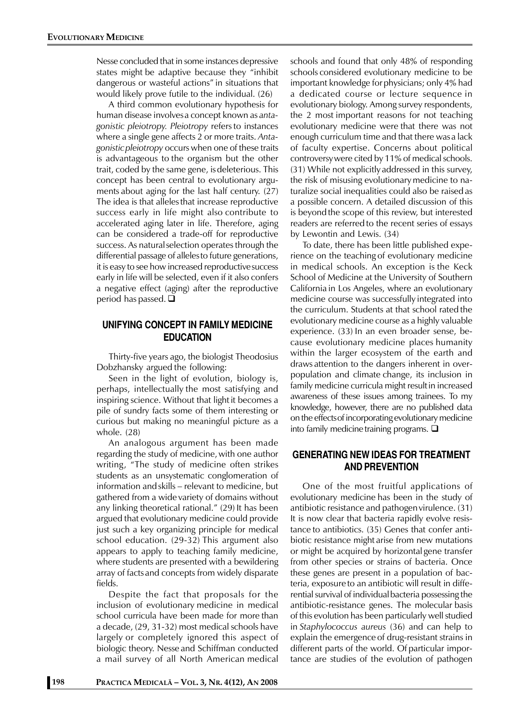Nesse concluded that in some instances depressive states might be adaptive because they "inhibit dangerous or wasteful actions" in situations that would likely prove futile to the individual. (26)

A third common evolutionary hypothesis for human disease involvesa concept known as *antagonistic pleiotropy. Pleiotropy* refers to instances where a single gene affects 2 or more traits. *Antagonisticpleiotropy* occurs when one of these traits is advantageous to the organism but the other trait, coded by the same gene, isdeleterious. This concept has been central to evolutionary arguments about aging for the last half century. (27) The idea is that allelesthat increase reproductive success early in life might also contribute to accelerated aging later in life. Therefore, aging can be considered a trade-off for reproductive success. As naturalselection operates through the differential passage of allelesto future generations, it is easy to see how increased reproductivesuccess early in life will be selected, even if it also confers a negative effect (aging) after the reproductive period has passed.  $\square$ 

#### **UNIFYING CONCEPT IN FAMILY MEDICINE EDUCATION**

Thirty-five years ago, the biologist Theodosius Dobzhansky argued the following:

Seen in the light of evolution, biology is, perhaps, intellectually the most satisfying and inspiring science. Without that light it becomes a pile of sundry facts some of them interesting or curious but making no meaningful picture as a whole. (28)

An analogous argument has been made regarding the study of medicine, with one author writing, "The study of medicine often strikes students as an unsystematic conglomeration of information andskills – relevant to medicine, but gathered from a wide variety of domains without any linking theoretical rational." (29) It has been argued that evolutionary medicine could provide just such a key organizing principle for medical school education. (29-32) This argument also appears to apply to teaching family medicine, where students are presented with a bewildering array of facts and concepts from widely disparate fields.

Despite the fact that proposals for the inclusion of evolutionary medicine in medical school curricula have been made for more than a decade, (29, 31-32) most medical schools have largely or completely ignored this aspect of biologic theory. Nesse and Schiffman conducted a mail survey of all North American medical schools and found that only 48% of responding schools considered evolutionary medicine to be important knowledge forphysicians; only 4% had a dedicated course or lecture sequence in evolutionary biology. Among survey respondents, the 2 most important reasons for not teaching evolutionary medicine were that there was not enough curriculum time and that there was a lack of faculty expertise. Concerns about political controversywere cited by 11% of medical schools. (31) While not explicitly addressed in this survey, the risk of misusing evolutionary medicine to naturalize social inequalities could also be raised as a possible concern. A detailed discussion of this is beyond the scope of this review, but interested readers are referred to the recent series of essays by Lewontin and Lewis. (34)

To date, there has been little published experience on the teaching of evolutionary medicine in medical schools. An exception is the Keck School of Medicine at the University of Southern California in Los Angeles, where an evolutionary medicine course was successfully integrated into the curriculum. Students at that school rated the evolutionary medicine course as a highly valuable experience. (33) In an even broader sense, because evolutionary medicine places humanity within the larger ecosystem of the earth and draws attention to the dangers inherent in overpopulation and climate change, its inclusion in family medicine curricula might resultin increased awareness of these issues among trainees. To my knowledge, however, there are no published data on the effectsof incorporating evolutionary medicine into family medicine training programs.  $\square$ 

## **GENERATING NEW IDEAS FOR TREATMENT AND PREVENTION**

One of the most fruitful applications of evolutionary medicine has been in the study of antibiotic resistance and pathogenvirulence. (31) It is now clear that bacteria rapidly evolve resistance to antibiotics. (35) Genes that confer antibiotic resistance might arise from new mutations or might be acquired by horizontal gene transfer from other species or strains of bacteria. Once these genes are present in a population of bacteria, exposure to an antibiotic will result in differential survival of individualbacteria possessing the antibiotic-resistance genes. The molecular basis of this evolution has been particularly well studied in *Staphylococcus aureus* (36) and can help to explain the emergence of drug-resistant strains in different parts of the world. Of particular importance are studies of the evolution of pathogen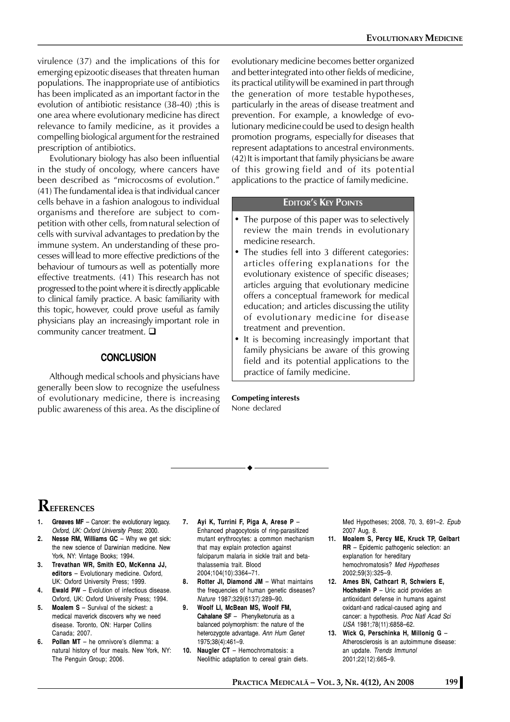virulence (37) and the implications of this for emerging epizooticdiseases that threaten human populations. The inappropriate use of antibiotics has been implicated as an important factorin the evolution of antibiotic resistance (38-40) ;this is one area where evolutionary medicine has direct relevance to family medicine, as it provides a compelling biological argumentfor the restrained prescription of antibiotics.

Evolutionary biology has also been influential in the study of oncology, where cancers have been described as "microcosms of evolution." (41) The fundamental idea is that individual cancer cells behave in a fashion analogous to individual organisms and therefore are subject to competition with other cells, fromnatural selection of cells with survival advantages to predationby the immune system. An understanding of these processes will lead to more effective predictions of the behaviour of tumours as well as potentially more effective treatments. (41) This research has not progressed to the point where it is directly applicable to clinical family practice. A basic familiarity with this topic, however, could prove useful as family physicians play an increasingly important role in community cancer treatment.  $\square$ 

#### **CONCLUSION**

Although medical schools and physicians have generally been slow to recognize the usefulness of evolutionary medicine, there is increasing public awareness of this area. As the discipline of evolutionary medicine becomes better organized and betterintegrated into other fields of medicine, its practical utilitywill be examined in part through the generation of more testable hypotheses, particularly in the areas of disease treatment and prevention. For example, a knowledge of evolutionary medicinecould be used to design health promotion programs, especially for diseases that represent adaptations to ancestral environments. (42)It is important that family physicians be aware of this growing field and of its potential applications to the practice of family medicine.

#### **EDITOR'S KEY POINTS**

- The purpose of this paper was to selectively review the main trends in evolutionary medicine research.
- The studies fell into 3 different categories: articles offering explanations for the evolutionary existence of specific diseases; articles arguing that evolutionary medicine offers a conceptual framework for medical education; and articles discussing the utility of evolutionary medicine for disease treatment and prevention.
- It is becoming increasingly important that family physicians be aware of this growing field and its potential applications to the practice of family medicine.

**Competing interests** None declared

# **REFERENCES**

- **1. Greaves MF** Cancer: the evolutionary legacy. *Oxford, UK: Oxford University Press*; 2000.
- **2. Nesse RM, Williams GC** Why we get sick: the new science of Darwinian medicine. New York, NY: Vintage Books; 1994.
- **3. Trevathan WR, Smith EO, McKenna JJ, editors** – Evolutionary medicine. Oxford, UK: Oxford University Press; 1999.
- **4. Ewald PW** Evolution of infectious disease. Oxford, UK: Oxford University Press; 1994.
- **5. Moalem S** Survival of the sickest: a medical maverick discovers why we need disease. Toronto, ON: Harper Collins Canada; 2007.
- **6. Pollan MT** he omnivore's dilemma: a natural history of four meals. New York, NY: The Penguin Group; 2006.
- **7. Ayi K, Turrini F, Piga A, Arese P** Enhanced phagocytosis of ring-parasitized mutant erythrocytes: a common mechanism that may explain protection against falciparum malaria in sickle trait and betathalassemia trait. Blood 2004;104(10):3364–71.
- **8. Rotter JI, Diamond JM** What maintains the frequencies of human genetic diseases? *Nature* 1987;329(6137):289–90.
- **9. Woolf LI, McBean MS, Woolf FM, Cahalane SF** – Phenylketonuria as a balanced polymorphism: the nature of the heterozygote advantage. *Ann Hum Genet* 1975;38(4):461–9.
- **10. Naugler CT** Hemochromatosis: a Neolithic adaptation to cereal grain diets.

Med Hypotheses; 2008, 70, 3, 691–2. *Epub* 2007 Aug, 8.

- **11. Moalem S, Percy ME, Kruck TP, Gelbart RR** – Epidemic pathogenic selection: an explanation for hereditary hemochromatosis? *Med Hypotheses* 2002;59(3):325–9.
- **12. Ames BN, Cathcart R, Schwiers E, Hochstein P** – Uric acid provides an antioxidant defense in humans against oxidant-and radical-caused aging and cancer: a hypothesis. *Proc Natl Acad Sci USA* 1981;78(11):6858–62.
- **13. Wick G, Perschinka H, Millonig G** Atherosclerosis is an autoimmune disease: an update. *Trends Immunol* 2001;22(12):665–9.